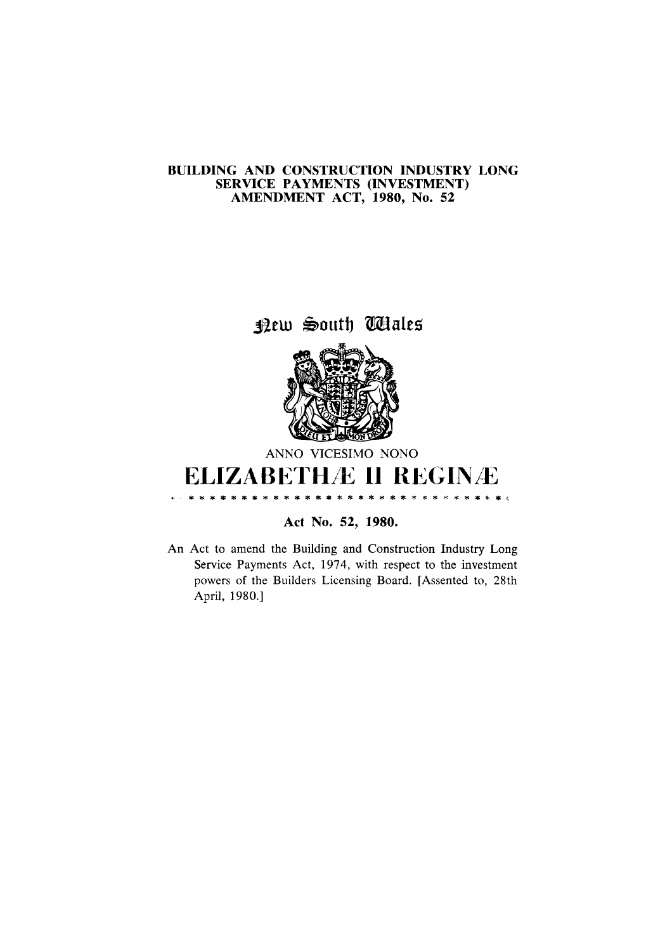## BUILDING AND CONSTRUCTION INDUSTRY LONG SERVICE PAYMENTS (INVESTMENT)<br>AMENDMENT ACT, 1980, No. 52

New South Wales



ANNO VICESIMO NONO

## **ELIZABETHAE II REGINAE .........** \* \* \* \* \* \* \*

Act No. 52, 1980.

An Act to amend the Building and Construction Industry Long Service Payments Act, 1974, with respect to the investment powers of the Builders Licensing Board. [Assented to, 28th April, 1980.]